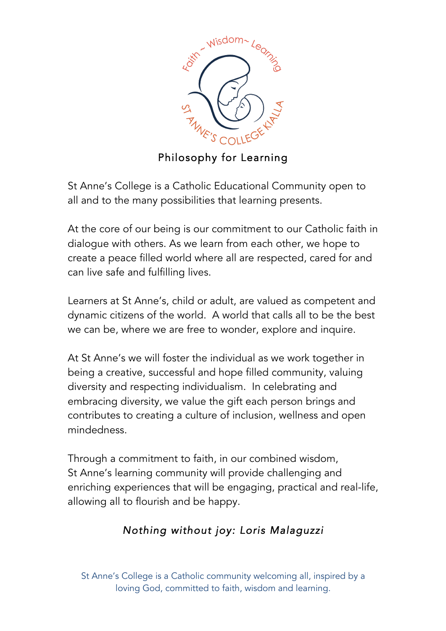

Philosophy for Learning

St Anne's College is a Catholic Educational Community open to all and to the many possibilities that learning presents.

At the core of our being is our commitment to our Catholic faith in dialogue with others. As we learn from each other, we hope to create a peace filled world where all are respected, cared for and can live safe and fulfilling lives.

Learners at St Anne's, child or adult, are valued as competent and dynamic citizens of the world. A world that calls all to be the best we can be, where we are free to wonder, explore and inquire.

At St Anne's we will foster the individual as we work together in being a creative, successful and hope filled community, valuing diversity and respecting individualism. In celebrating and embracing diversity, we value the gift each person brings and contributes to creating a culture of inclusion, wellness and open mindedness.

Through a commitment to faith, in our combined wisdom, St Anne's learning community will provide challenging and enriching experiences that will be engaging, practical and real-life, allowing all to flourish and be happy.

# *Nothing without joy: Loris Malaguzzi*

St Anne's College is a Catholic community welcoming all, inspired by a loving God, committed to faith, wisdom and learning.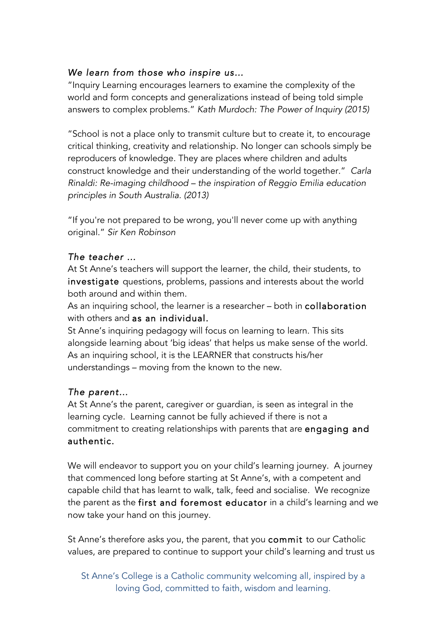### *We learn from those who inspire us…*

"Inquiry Learning encourages learners to examine the complexity of the world and form concepts and generalizations instead of being told simple answers to complex problems." *Kath Murdoch: The Power of Inquiry (2015)*

"School is not a place only to transmit culture but to create it, to encourage critical thinking, creativity and relationship. No longer can schools simply be reproducers of knowledge. They are places where children and adults construct knowledge and their understanding of the world together." *Carla Rinaldi: Re-imaging childhood – the inspiration of Reggio Emilia education principles in South Australia. (2013)*

"If you're not prepared to be wrong, you'll never come up with anything original." *Sir Ken Robinson*

### *The teacher …*

At St Anne's teachers will support the learner, the child, their students, to investigate questions, problems, passions and interests about the world both around and within them.

As an inquiring school, the learner is a researcher – both in collaboration with others and as an individual.

St Anne's inquiring pedagogy will focus on learning to learn. This sits alongside learning about 'big ideas' that helps us make sense of the world. As an inquiring school, it is the LEARNER that constructs his/her understandings – moving from the known to the new.

#### *The parent…*

At St Anne's the parent, caregiver or guardian, is seen as integral in the learning cycle. Learning cannot be fully achieved if there is not a commitment to creating relationships with parents that are engaging and authentic.

We will endeavor to support you on your child's learning journey. A journey that commenced long before starting at St Anne's, with a competent and capable child that has learnt to walk, talk, feed and socialise. We recognize the parent as the first and foremost educator in a child's learning and we now take your hand on this journey.

St Anne's therefore asks you, the parent, that you commit to our Catholic values, are prepared to continue to support your child's learning and trust us

St Anne's College is a Catholic community welcoming all, inspired by a loving God, committed to faith, wisdom and learning.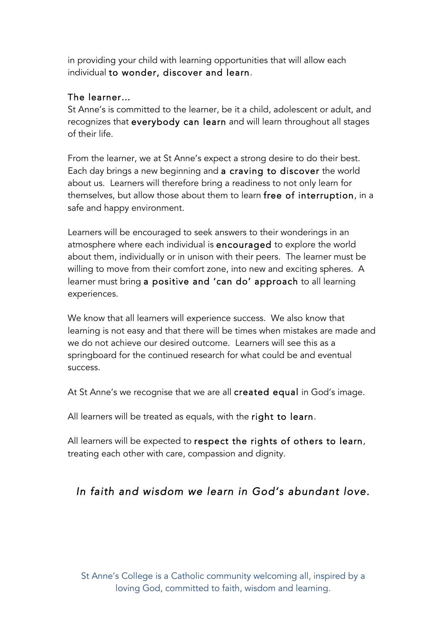in providing your child with learning opportunities that will allow each individual to wonder, discover and learn.

#### The learner…

St Anne's is committed to the learner, be it a child, adolescent or adult, and recognizes that everybody can learn and will learn throughout all stages of their life.

From the learner, we at St Anne's expect a strong desire to do their best. Each day brings a new beginning and a craving to discover the world about us. Learners will therefore bring a readiness to not only learn for themselves, but allow those about them to learn free of interruption, in a safe and happy environment.

Learners will be encouraged to seek answers to their wonderings in an atmosphere where each individual is encouraged to explore the world about them, individually or in unison with their peers. The learner must be willing to move from their comfort zone, into new and exciting spheres. A learner must bring a positive and 'can do' approach to all learning experiences.

We know that all learners will experience success. We also know that learning is not easy and that there will be times when mistakes are made and we do not achieve our desired outcome. Learners will see this as a springboard for the continued research for what could be and eventual success.

At St Anne's we recognise that we are all created equal in God's image.

All learners will be treated as equals, with the right to learn.

All learners will be expected to respect the rights of others to learn, treating each other with care, compassion and dignity.

## *In faith and wisdom we learn in God's abundant love.*